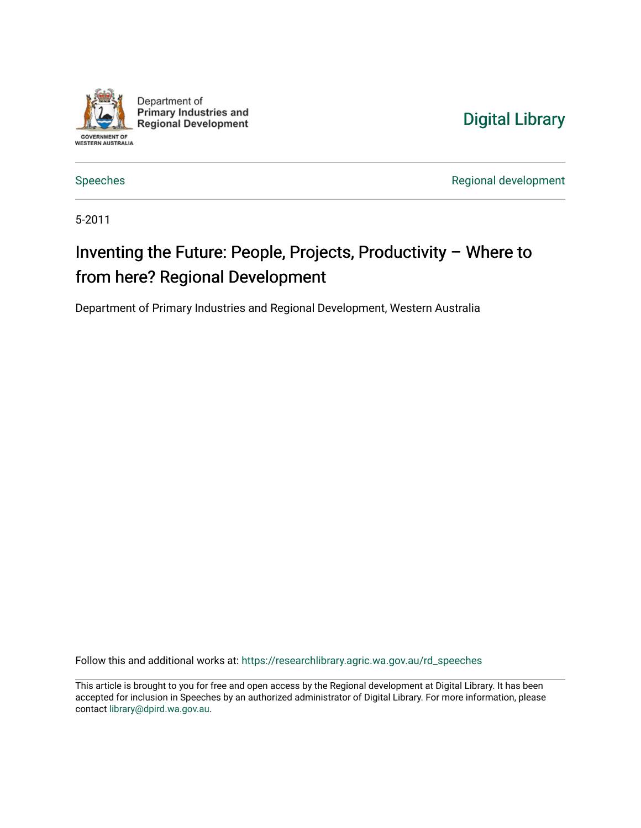

Department of **Primary Industries and Regional Development** 



[Speeches](https://researchlibrary.agric.wa.gov.au/rd_speeches) **Regional development** 

5-2011

## Inventing the Future: People, Projects, Productivity – Where to from here? Regional Development

Department of Primary Industries and Regional Development, Western Australia

Follow this and additional works at: [https://researchlibrary.agric.wa.gov.au/rd\\_speeches](https://researchlibrary.agric.wa.gov.au/rd_speeches?utm_source=researchlibrary.agric.wa.gov.au%2Frd_speeches%2F1&utm_medium=PDF&utm_campaign=PDFCoverPages) 

This article is brought to you for free and open access by the Regional development at Digital Library. It has been accepted for inclusion in Speeches by an authorized administrator of Digital Library. For more information, please contact [library@dpird.wa.gov.au](mailto:library@dpird.wa.gov.au).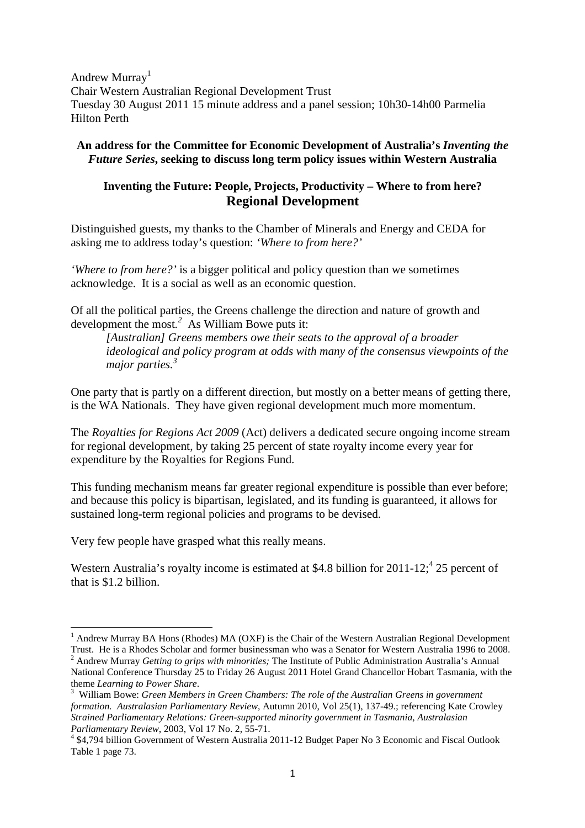Andrew Murray<sup>1</sup> Chair Western Australian Regional Development Trust Tuesday 30 August 2011 15 minute address and a panel session; 10h30-14h00 Parmelia Hilton Perth

## **An address for the Committee for Economic Development of Australia's** *Inventing the Future Series***, seeking to discuss long term policy issues within Western Australia**

## **Inventing the Future: People, Projects, Productivity – Where to from here? Regional Development**

Distinguished guests, my thanks to the Chamber of Minerals and Energy and CEDA for asking me to address today's question: *'Where to from here?'*

*'Where to from here?'* is a bigger political and policy question than we sometimes acknowledge. It is a social as well as an economic question.

Of all the political parties, the Greens challenge the direction and nature of growth and development the most*. 2* As William Bowe puts it:

*[Australian] Greens members owe their seats to the approval of a broader ideological and policy program at odds with many of the consensus viewpoints of the major parties.<sup>3</sup>*

One party that is partly on a different direction, but mostly on a better means of getting there, is the WA Nationals. They have given regional development much more momentum.

The *Royalties for Regions Act 2009* (Act) delivers a dedicated secure ongoing income stream for regional development, by taking 25 percent of state royalty income every year for expenditure by the Royalties for Regions Fund.

This funding mechanism means far greater regional expenditure is possible than ever before; and because this policy is bipartisan, legislated, and its funding is guaranteed, it allows for sustained long-term regional policies and programs to be devised.

Very few people have grasped what this really means.

l

Western Australia's royalty income is estimated at \$4.8 billion for  $2011-12$ ;  $425$  percent of that is \$1.2 billion.

<sup>&</sup>lt;sup>1</sup> Andrew Murray BA Hons (Rhodes) MA (OXF) is the Chair of the Western Australian Regional Development

Trust. He is a Rhodes Scholar and former businessman who was a Senator for Western Australia 1996 to 2008. 2 Andrew Murray *Getting to grips with minorities;* The Institute of Public Administration Australia's Annual National Conference Thursday 25 to Friday 26 August 2011 Hotel Grand Chancellor Hobart Tasmania, with the theme *Learning to Power Share*.

<sup>3</sup> William Bowe: *Green Members in Green Chambers: The role of the Australian Greens in government formation. Australasian Parliamentary Review*, Autumn 2010, Vol 25(1), 137-49.; referencing Kate Crowley *Strained Parliamentary Relations: Green-supported minority government in Tasmania, Australasian Parliamentary Review*, 2003, Vol 17 No. 2, 55-71.

<sup>&</sup>lt;sup>4</sup> \$4,794 billion Government of Western Australia 2011-12 Budget Paper No 3 Economic and Fiscal Outlook Table 1 page 73.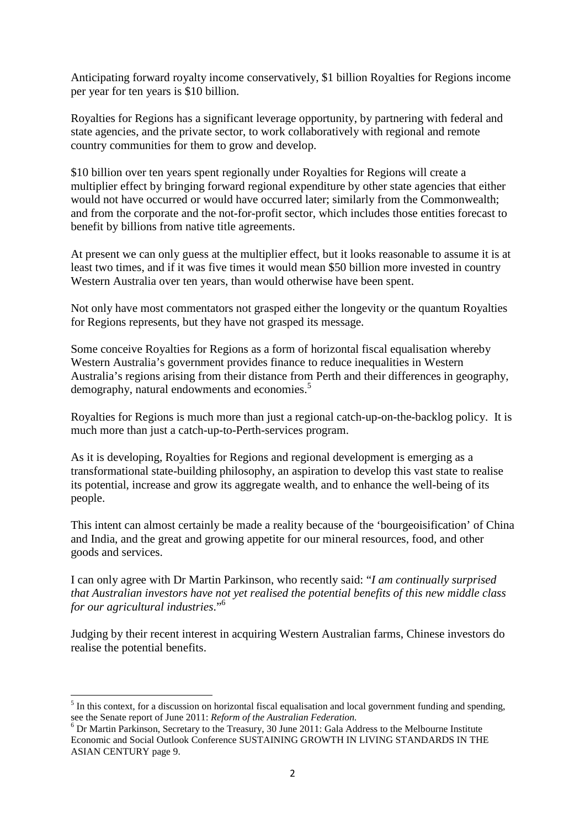Anticipating forward royalty income conservatively, \$1 billion Royalties for Regions income per year for ten years is \$10 billion.

Royalties for Regions has a significant leverage opportunity, by partnering with federal and state agencies, and the private sector, to work collaboratively with regional and remote country communities for them to grow and develop.

\$10 billion over ten years spent regionally under Royalties for Regions will create a multiplier effect by bringing forward regional expenditure by other state agencies that either would not have occurred or would have occurred later; similarly from the Commonwealth; and from the corporate and the not-for-profit sector, which includes those entities forecast to benefit by billions from native title agreements.

At present we can only guess at the multiplier effect, but it looks reasonable to assume it is at least two times, and if it was five times it would mean \$50 billion more invested in country Western Australia over ten years, than would otherwise have been spent.

Not only have most commentators not grasped either the longevity or the quantum Royalties for Regions represents, but they have not grasped its message.

Some conceive Royalties for Regions as a form of horizontal fiscal equalisation whereby Western Australia's government provides finance to reduce inequalities in Western Australia's regions arising from their distance from Perth and their differences in geography, demography, natural endowments and economies.<sup>5</sup>

Royalties for Regions is much more than just a regional catch-up-on-the-backlog policy. It is much more than just a catch-up-to-Perth-services program.

As it is developing, Royalties for Regions and regional development is emerging as a transformational state-building philosophy, an aspiration to develop this vast state to realise its potential, increase and grow its aggregate wealth, and to enhance the well-being of its people.

This intent can almost certainly be made a reality because of the 'bourgeoisification' of China and India, and the great and growing appetite for our mineral resources, food, and other goods and services.

I can only agree with Dr Martin Parkinson, who recently said: "*I am continually surprised that Australian investors have not yet realised the potential benefits of this new middle class for our agricultural industries*."<sup>6</sup>

Judging by their recent interest in acquiring Western Australian farms, Chinese investors do realise the potential benefits.

l

<sup>&</sup>lt;sup>5</sup> In this context, for a discussion on horizontal fiscal equalisation and local government funding and spending, see the Senate report of June 2011: *Reform of the Australian Federation.*

<sup>&</sup>lt;sup>6</sup> Dr Martin Parkinson, Secretary to the Treasury, 30 June 2011: Gala Address to the Melbourne Institute Economic and Social Outlook Conference SUSTAINING GROWTH IN LIVING STANDARDS IN THE ASIAN CENTURY page 9.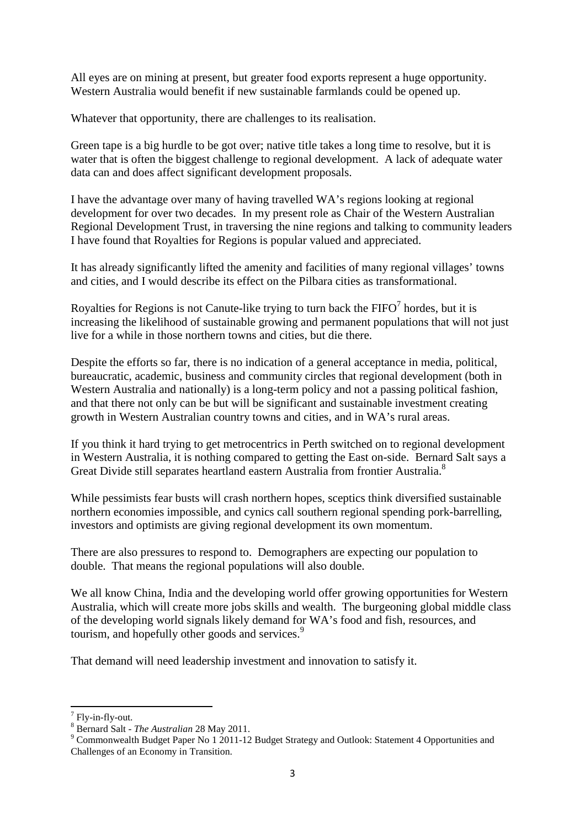All eyes are on mining at present, but greater food exports represent a huge opportunity. Western Australia would benefit if new sustainable farmlands could be opened up.

Whatever that opportunity, there are challenges to its realisation.

Green tape is a big hurdle to be got over; native title takes a long time to resolve, but it is water that is often the biggest challenge to regional development. A lack of adequate water data can and does affect significant development proposals.

I have the advantage over many of having travelled WA's regions looking at regional development for over two decades. In my present role as Chair of the Western Australian Regional Development Trust, in traversing the nine regions and talking to community leaders I have found that Royalties for Regions is popular valued and appreciated.

It has already significantly lifted the amenity and facilities of many regional villages' towns and cities, and I would describe its effect on the Pilbara cities as transformational.

Royalties for Regions is not Canute-like trying to turn back the  $FIFO<sup>7</sup>$  hordes, but it is increasing the likelihood of sustainable growing and permanent populations that will not just live for a while in those northern towns and cities, but die there.

Despite the efforts so far, there is no indication of a general acceptance in media, political, bureaucratic, academic, business and community circles that regional development (both in Western Australia and nationally) is a long-term policy and not a passing political fashion, and that there not only can be but will be significant and sustainable investment creating growth in Western Australian country towns and cities, and in WA's rural areas.

If you think it hard trying to get metrocentrics in Perth switched on to regional development in Western Australia, it is nothing compared to getting the East on-side. Bernard Salt says a Great Divide still separates heartland eastern Australia from frontier Australia.<sup>8</sup>

While pessimists fear busts will crash northern hopes, sceptics think diversified sustainable northern economies impossible, and cynics call southern regional spending pork-barrelling. investors and optimists are giving regional development its own momentum.

There are also pressures to respond to. Demographers are expecting our population to double. That means the regional populations will also double.

We all know China, India and the developing world offer growing opportunities for Western Australia, which will create more jobs skills and wealth. The burgeoning global middle class of the developing world signals likely demand for WA's food and fish, resources, and tourism, and hopefully other goods and services.<sup>9</sup>

That demand will need leadership investment and innovation to satisfy it.

 $\overline{a}$ 

<sup>7</sup> Fly-in-fly-out.

<sup>8</sup> Bernard Salt - *The Australian* 28 May 2011.

<sup>&</sup>lt;sup>9</sup> Commonwealth Budget Paper No 1 2011-12 Budget Strategy and Outlook: Statement 4 Opportunities and Challenges of an Economy in Transition.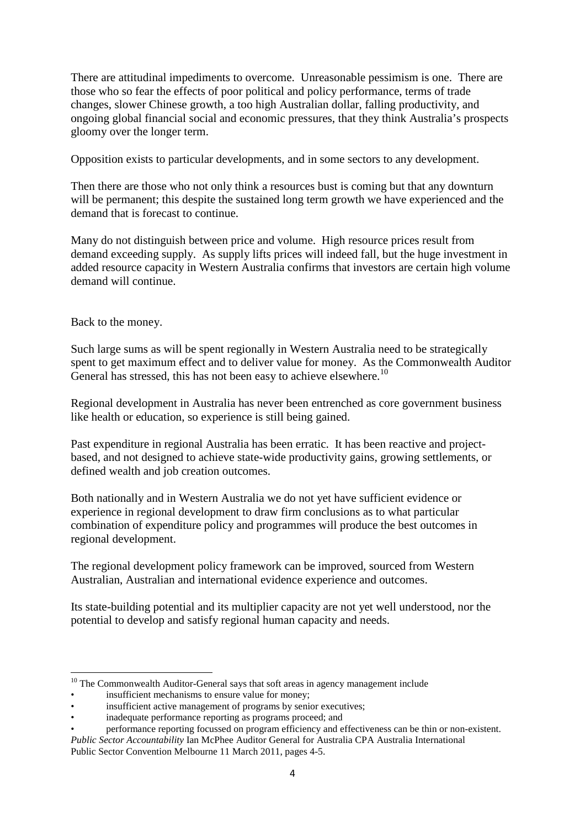There are attitudinal impediments to overcome. Unreasonable pessimism is one. There are those who so fear the effects of poor political and policy performance, terms of trade changes, slower Chinese growth, a too high Australian dollar, falling productivity, and ongoing global financial social and economic pressures, that they think Australia's prospects gloomy over the longer term.

Opposition exists to particular developments, and in some sectors to any development.

Then there are those who not only think a resources bust is coming but that any downturn will be permanent; this despite the sustained long term growth we have experienced and the demand that is forecast to continue.

Many do not distinguish between price and volume. High resource prices result from demand exceeding supply. As supply lifts prices will indeed fall, but the huge investment in added resource capacity in Western Australia confirms that investors are certain high volume demand will continue.

Back to the money.

 $\overline{a}$ 

Such large sums as will be spent regionally in Western Australia need to be strategically spent to get maximum effect and to deliver value for money. As the Commonwealth Auditor General has stressed, this has not been easy to achieve elsewhere.<sup>10</sup>

Regional development in Australia has never been entrenched as core government business like health or education, so experience is still being gained.

Past expenditure in regional Australia has been erratic. It has been reactive and projectbased, and not designed to achieve state-wide productivity gains, growing settlements, or defined wealth and job creation outcomes.

Both nationally and in Western Australia we do not yet have sufficient evidence or experience in regional development to draw firm conclusions as to what particular combination of expenditure policy and programmes will produce the best outcomes in regional development.

The regional development policy framework can be improved, sourced from Western Australian, Australian and international evidence experience and outcomes.

Its state-building potential and its multiplier capacity are not yet well understood, nor the potential to develop and satisfy regional human capacity and needs.

<sup>&</sup>lt;sup>10</sup> The Commonwealth Auditor-General says that soft areas in agency management include

insufficient mechanisms to ensure value for money;

insufficient active management of programs by senior executives;

inadequate performance reporting as programs proceed; and

<sup>•</sup> performance reporting focussed on program efficiency and effectiveness can be thin or non-existent. *Public Sector Accountability* Ian McPhee Auditor General for Australia CPA Australia International

Public Sector Convention Melbourne 11 March 2011, pages 4-5.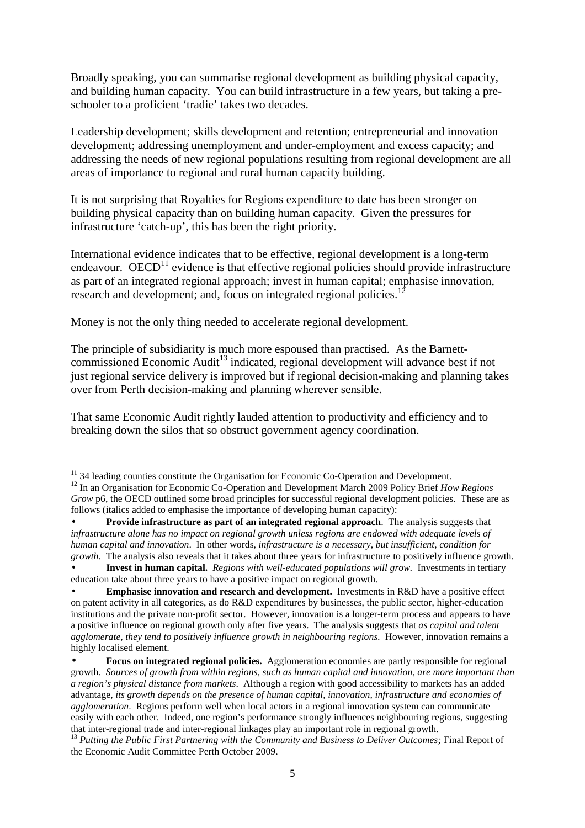Broadly speaking, you can summarise regional development as building physical capacity, and building human capacity. You can build infrastructure in a few years, but taking a preschooler to a proficient 'tradie' takes two decades.

Leadership development; skills development and retention; entrepreneurial and innovation development; addressing unemployment and under-employment and excess capacity; and addressing the needs of new regional populations resulting from regional development are all areas of importance to regional and rural human capacity building.

It is not surprising that Royalties for Regions expenditure to date has been stronger on building physical capacity than on building human capacity. Given the pressures for infrastructure 'catch-up', this has been the right priority.

International evidence indicates that to be effective, regional development is a long-term endeavour. OECD $<sup>11</sup>$  evidence is that effective regional policies should provide infrastructure</sup> as part of an integrated regional approach; invest in human capital; emphasise innovation, research and development; and, focus on integrated regional policies.<sup>12</sup>

Money is not the only thing needed to accelerate regional development.

The principle of subsidiarity is much more espoused than practised. As the Barnett- $\overline{\text{c}^2}$  commissioned Economic Audit<sup>13</sup> indicated, regional development will advance best if not just regional service delivery is improved but if regional decision-making and planning takes over from Perth decision-making and planning wherever sensible.

That same Economic Audit rightly lauded attention to productivity and efficiency and to breaking down the silos that so obstruct government agency coordination.

l

<sup>&</sup>lt;sup>11</sup> 34 leading counties constitute the Organisation for Economic Co-Operation and Development.

<sup>&</sup>lt;sup>12</sup> In an Organisation for Economic Co-Operation and Development March 2009 Policy Brief *How Regions Grow* p6, the OECD outlined some broad principles for successful regional development policies. These are as follows (italics added to emphasise the importance of developing human capacity):

<sup>•</sup> **Provide infrastructure as part of an integrated regional approach**. The analysis suggests that *infrastructure alone has no impact on regional growth unless regions are endowed with adequate levels of human capital and innovation*. In other words, *infrastructure is a necessary, but insufficient, condition for growth*. The analysis also reveals that it takes about three years for infrastructure to positively influence growth.

<sup>•</sup> **Invest in human capital.** *Regions with well-educated populations will grow.* Investments in tertiary education take about three years to have a positive impact on regional growth.

<sup>•</sup> **Emphasise innovation and research and development.** Investments in R&D have a positive effect on patent activity in all categories, as do R&D expenditures by businesses, the public sector, higher-education institutions and the private non-profit sector. However, innovation is a longer-term process and appears to have a positive influence on regional growth only after five years. The analysis suggests that *as capital and talent agglomerate, they tend to positively influence growth in neighbouring regions.* However, innovation remains a highly localised element.

<sup>•</sup> **Focus on integrated regional policies.** Agglomeration economies are partly responsible for regional growth. *Sources of growth from within regions, such as human capital and innovation, are more important than a region's physical distance from markets*. Although a region with good accessibility to markets has an added advantage, *its growth depends on the presence of human capital, innovation, infrastructure and economies of agglomeration*. Regions perform well when local actors in a regional innovation system can communicate easily with each other. Indeed, one region's performance strongly influences neighbouring regions, suggesting that inter-regional trade and inter-regional linkages play an important role in regional growth.

<sup>&</sup>lt;sup>13</sup> Putting the Public First Partnering with the Community and Business to Deliver Outcomes; Final Report of the Economic Audit Committee Perth October 2009.